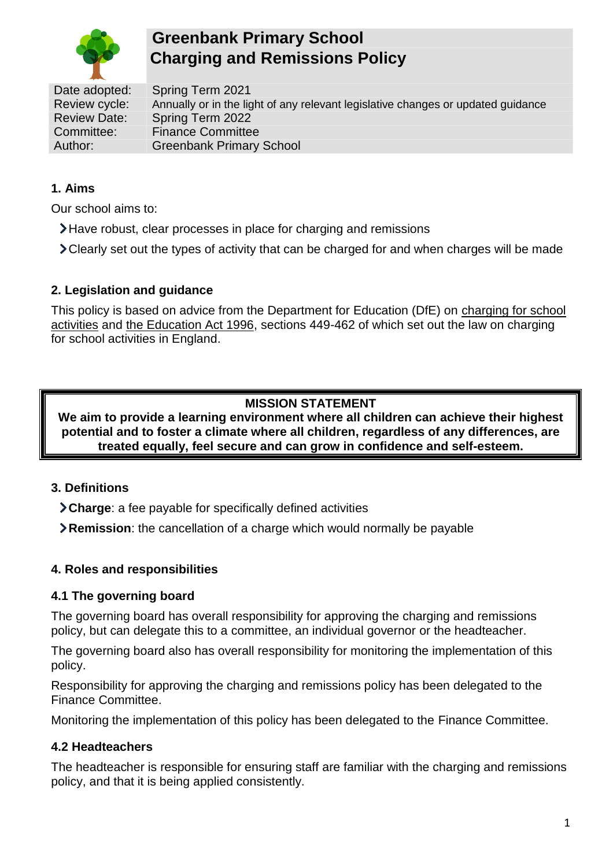

# **Greenbank Primary School Charging and Remissions Policy**

Date adopted: Spring Term 2021 Review cycle: Annually or in the light of any relevant legislative changes or updated guidance Review Date: Spring Term 2022 Committee: Finance Committee Author: Greenbank Primary School

### **1. Aims**

Our school aims to:

- Have robust, clear processes in place for charging and remissions
- Clearly set out the types of activity that can be charged for and when charges will be made

#### **2. Legislation and guidance**

This policy is based on advice from the Department for Education (DfE) on [charging for school](https://www.gov.uk/government/publications/charging-for-school-activities)  [activities](https://www.gov.uk/government/publications/charging-for-school-activities) and [the Education Act 1996,](http://www.legislation.gov.uk/ukpga/1996/56/part/VI/chapter/III) sections 449-462 of which set out the law on charging for school activities in England.

### **MISSION STATEMENT**

**We aim to provide a learning environment where all children can achieve their highest potential and to foster a climate where all children, regardless of any differences, are treated equally, feel secure and can grow in confidence and self-esteem.**

### **3. Definitions**

- **Charge**: a fee payable for specifically defined activities
- **Remission**: the cancellation of a charge which would normally be payable

#### **4. Roles and responsibilities**

#### **4.1 The governing board**

The governing board has overall responsibility for approving the charging and remissions policy, but can delegate this to a committee, an individual governor or the headteacher.

The governing board also has overall responsibility for monitoring the implementation of this policy.

Responsibility for approving the charging and remissions policy has been delegated to the Finance Committee.

Monitoring the implementation of this policy has been delegated to the Finance Committee.

### **4.2 Headteachers**

The headteacher is responsible for ensuring staff are familiar with the charging and remissions policy, and that it is being applied consistently.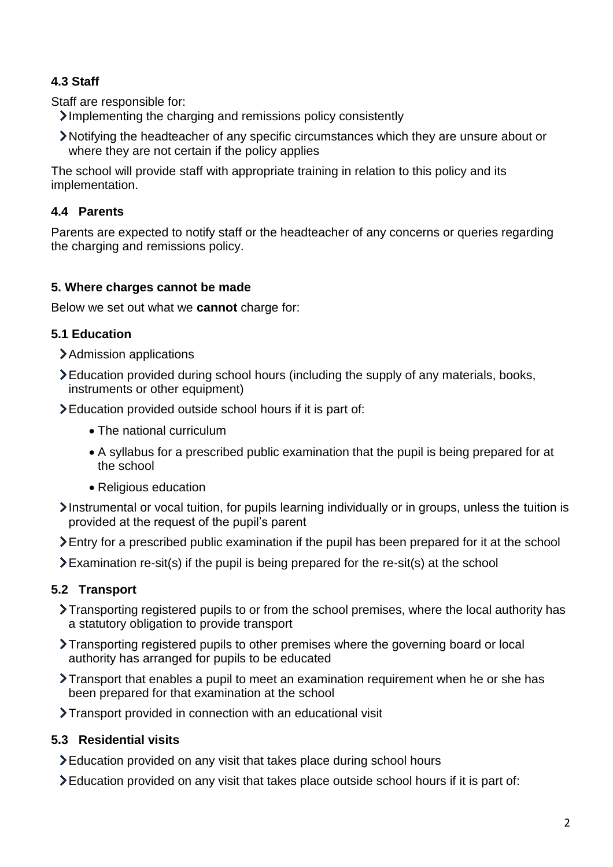# **4.3 Staff**

Staff are responsible for:

Implementing the charging and remissions policy consistently

Notifying the headteacher of any specific circumstances which they are unsure about or where they are not certain if the policy applies

The school will provide staff with appropriate training in relation to this policy and its implementation.

# **4.4 Parents**

Parents are expected to notify staff or the headteacher of any concerns or queries regarding the charging and remissions policy.

# **5. Where charges cannot be made**

Below we set out what we **cannot** charge for:

# **5.1 Education**

- Admission applications
- Education provided during school hours (including the supply of any materials, books, instruments or other equipment)
- Education provided outside school hours if it is part of:
	- The national curriculum
	- A syllabus for a prescribed public examination that the pupil is being prepared for at the school
	- Religious education
- Instrumental or vocal tuition, for pupils learning individually or in groups, unless the tuition is provided at the request of the pupil's parent
- Entry for a prescribed public examination if the pupil has been prepared for it at the school
- $\sum$  Examination re-sit(s) if the pupil is being prepared for the re-sit(s) at the school

# **5.2 Transport**

- Transporting registered pupils to or from the school premises, where the local authority has a statutory obligation to provide transport
- Transporting registered pupils to other premises where the governing board or local authority has arranged for pupils to be educated
- Transport that enables a pupil to meet an examination requirement when he or she has been prepared for that examination at the school
- Transport provided in connection with an educational visit

# **5.3 Residential visits**

- Education provided on any visit that takes place during school hours
- Education provided on any visit that takes place outside school hours if it is part of: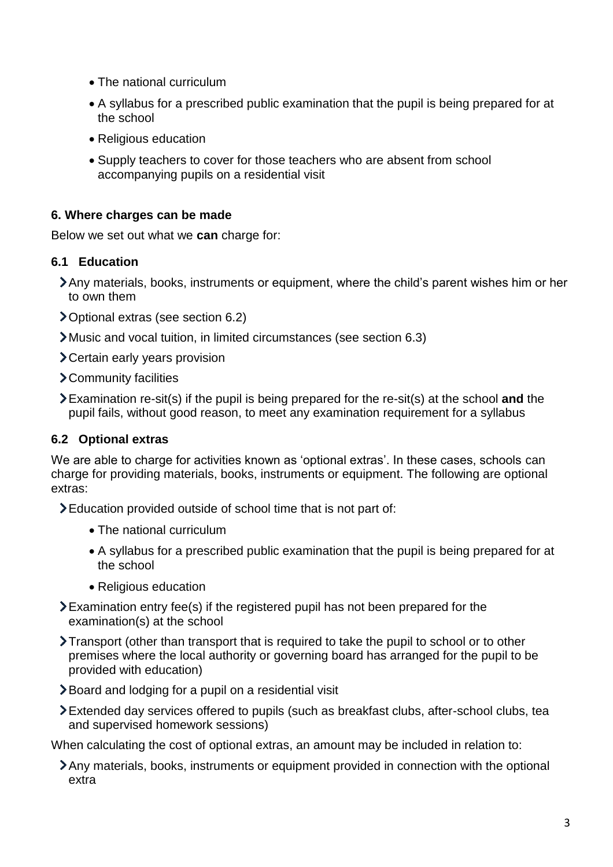- The national curriculum
- A syllabus for a prescribed public examination that the pupil is being prepared for at the school
- Religious education
- Supply teachers to cover for those teachers who are absent from school accompanying pupils on a residential visit

#### **6. Where charges can be made**

Below we set out what we **can** charge for:

#### **6.1 Education**

- Any materials, books, instruments or equipment, where the child's parent wishes him or her to own them
- Optional extras (see section 6.2)
- Music and vocal tuition, in limited circumstances (see section 6.3)
- Certain early years provision
- Community facilities
- Examination re-sit(s) if the pupil is being prepared for the re-sit(s) at the school **and** the pupil fails, without good reason, to meet any examination requirement for a syllabus

#### **6.2 Optional extras**

We are able to charge for activities known as 'optional extras'. In these cases, schools can charge for providing materials, books, instruments or equipment. The following are optional extras:

Education provided outside of school time that is not part of:

- The national curriculum
- A syllabus for a prescribed public examination that the pupil is being prepared for at the school
- Religious education
- Examination entry fee(s) if the registered pupil has not been prepared for the examination(s) at the school
- Transport (other than transport that is required to take the pupil to school or to other premises where the local authority or governing board has arranged for the pupil to be provided with education)
- Board and lodging for a pupil on a residential visit
- Extended day services offered to pupils (such as breakfast clubs, after-school clubs, tea and supervised homework sessions)

When calculating the cost of optional extras, an amount may be included in relation to:

Any materials, books, instruments or equipment provided in connection with the optional extra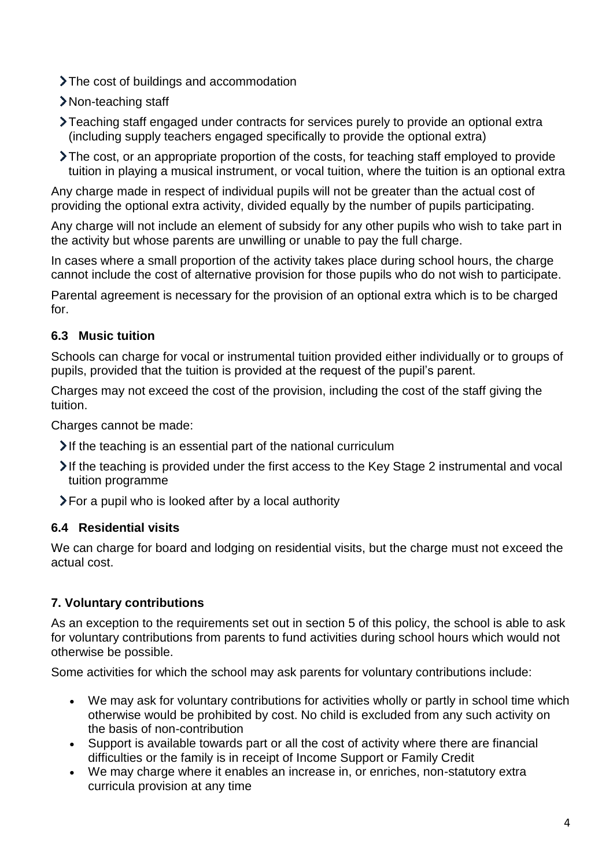The cost of buildings and accommodation

- > Non-teaching staff
- Teaching staff engaged under contracts for services purely to provide an optional extra (including supply teachers engaged specifically to provide the optional extra)
- The cost, or an appropriate proportion of the costs, for teaching staff employed to provide tuition in playing a musical instrument, or vocal tuition, where the tuition is an optional extra

Any charge made in respect of individual pupils will not be greater than the actual cost of providing the optional extra activity, divided equally by the number of pupils participating.

Any charge will not include an element of subsidy for any other pupils who wish to take part in the activity but whose parents are unwilling or unable to pay the full charge.

In cases where a small proportion of the activity takes place during school hours, the charge cannot include the cost of alternative provision for those pupils who do not wish to participate.

Parental agreement is necessary for the provision of an optional extra which is to be charged for.

# **6.3 Music tuition**

Schools can charge for vocal or instrumental tuition provided either individually or to groups of pupils, provided that the tuition is provided at the request of the pupil's parent.

Charges may not exceed the cost of the provision, including the cost of the staff giving the tuition.

Charges cannot be made:

- $\blacktriangleright$  If the teaching is an essential part of the national curriculum
- If the teaching is provided under the first access to the Key Stage 2 instrumental and vocal tuition programme
- For a pupil who is looked after by a local authority

# **6.4 Residential visits**

We can charge for board and lodging on residential visits, but the charge must not exceed the actual cost.

# **7. Voluntary contributions**

As an exception to the requirements set out in section 5 of this policy, the school is able to ask for voluntary contributions from parents to fund activities during school hours which would not otherwise be possible.

Some activities for which the school may ask parents for voluntary contributions include:

- We may ask for voluntary contributions for activities wholly or partly in school time which otherwise would be prohibited by cost. No child is excluded from any such activity on the basis of non-contribution
- Support is available towards part or all the cost of activity where there are financial difficulties or the family is in receipt of Income Support or Family Credit
- We may charge where it enables an increase in, or enriches, non-statutory extra curricula provision at any time